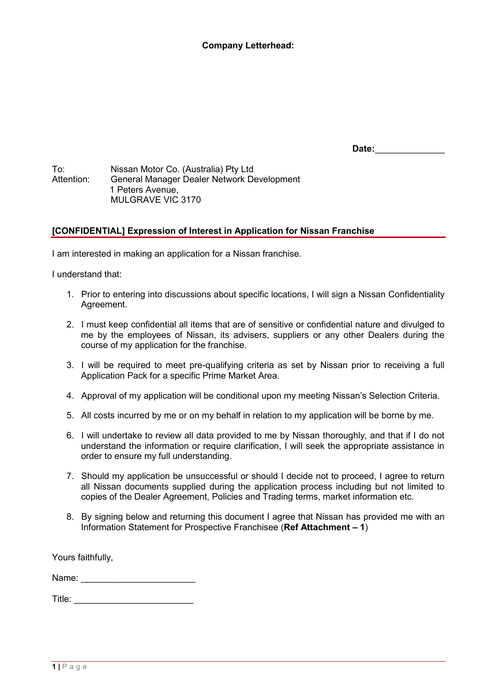## **Company Letterhead:**

**Date:**\_\_\_\_\_\_\_\_\_\_\_\_\_\_

To: Nissan Motor Co. (Australia) Pty Ltd General Manager Dealer Network Development 1 Peters Avenue, MULGRAVE VIC 3170

## **[CONFIDENTIAL] Expression of Interest in Application for Nissan Franchise**

I am interested in making an application for a Nissan franchise.

I understand that:

- 1. Prior to entering into discussions about specific locations, I will sign a Nissan Confidentiality Agreement.
- 2. I must keep confidential all items that are of sensitive or confidential nature and divulged to me by the employees of Nissan, its advisers, suppliers or any other Dealers during the course of my application for the franchise.
- 3. I will be required to meet pre-qualifying criteria as set by Nissan prior to receiving a full Application Pack for a specific Prime Market Area.
- 4. Approval of my application will be conditional upon my meeting Nissan's Selection Criteria.
- 5. All costs incurred by me or on my behalf in relation to my application will be borne by me.
- 6. I will undertake to review all data provided to me by Nissan thoroughly, and that if I do not understand the information or require clarification, I will seek the appropriate assistance in order to ensure my full understanding.
- 7. Should my application be unsuccessful or should I decide not to proceed, I agree to return all Nissan documents supplied during the application process including but not limited to copies of the Dealer Agreement, Policies and Trading terms, market information etc.
- 8. By signing below and returning this document I agree that Nissan has provided me with an Information Statement for Prospective Franchisee (**Ref Attachment – 1**)

Yours faithfully,

Name: \_\_\_\_\_\_\_\_\_\_\_\_\_\_\_\_\_\_\_\_\_\_\_

Title: \_\_\_\_\_\_\_\_\_\_\_\_\_\_\_\_\_\_\_\_\_\_\_\_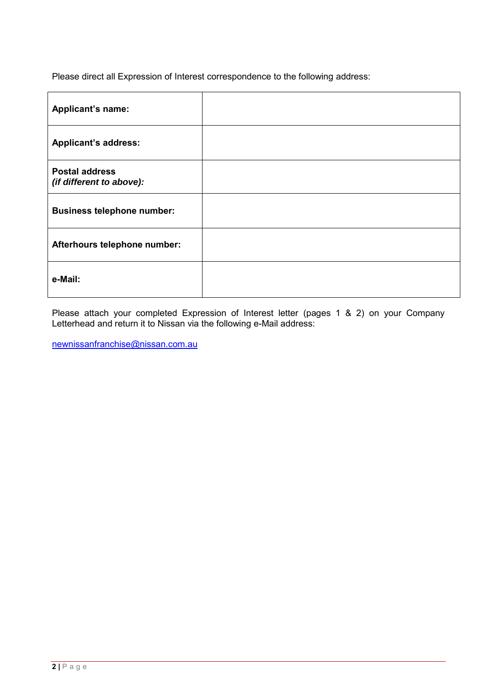Please direct all Expression of Interest correspondence to the following address:

| Applicant's name:                                 |  |
|---------------------------------------------------|--|
| <b>Applicant's address:</b>                       |  |
| <b>Postal address</b><br>(if different to above): |  |
| <b>Business telephone number:</b>                 |  |
| Afterhours telephone number:                      |  |
| e-Mail:                                           |  |

Please attach your completed Expression of Interest letter (pages 1 & 2) on your Company Letterhead and return it to Nissan via the following e-Mail address:

newnissanfranchise@nissan.com.au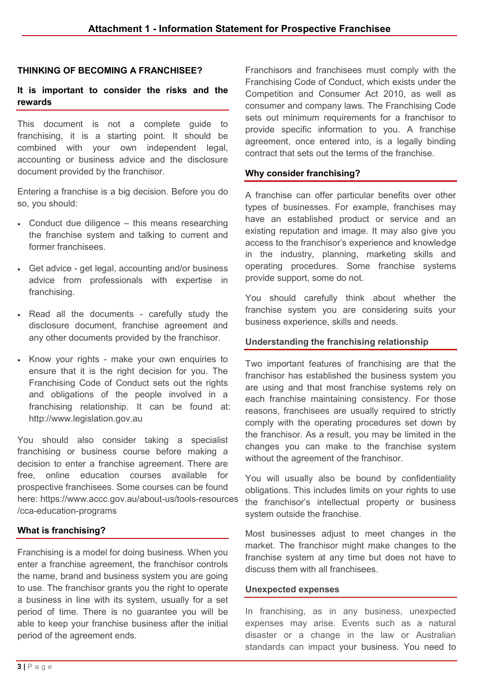## **THINKING OF BECOMING A FRANCHISEE?**

## **It is important to consider the risks and the rewards**

This document is not a complete guide to franchising, it is a starting point. It should be combined with your own independent legal, accounting or business advice and the disclosure document provided by the franchisor.

Entering a franchise is a big decision. Before you do so, you should:

- Conduct due diligence this means researching the franchise system and talking to current and former franchisees.
- Get advice get legal, accounting and/or business advice from professionals with expertise in franchising.
- Read all the documents carefully study the disclosure document, franchise agreement and any other documents provided by the franchisor.
- Know your rights make your own enquiries to ensure that it is the right decision for you. The Franchising Code of Conduct sets out the rights and obligations of the people involved in a [franchising relationship. It can be found at](https://www.legislation.gov.au/): http://www.legislation.gov.au

You should also consider taking a specialist franchising or business course before making a decision to enter a franchise agreement. There are free, online education courses available for prospective franchisees. Some courses can be found here: https://www.[accc.gov.au/about-us/tools-resources](https://www.accc.gov.au/about-us/tools-resources/cca-education-programs) /cca-education-programs

### **What is franchising?**

Franchising is a model for doing business. When you enter a franchise agreement, the franchisor controls the name, brand and business system you are going to use. The franchisor grants you the right to operate a business in line with its system, usually for a set period of time. There is no guarantee you will be able to keep your franchise business after the initial period of the agreement ends.

Franchisors and franchisees must comply with the Franchising Code of Conduct, which exists under the Competition and Consumer Act 2010, as well as consumer and company laws. The Franchising Code sets out minimum requirements for a franchisor to provide specific information to you. A franchise agreement, once entered into, is a legally binding contract that sets out the terms of the franchise.

#### **Why consider franchising?**

A franchise can offer particular benefits over other types of businesses. For example, franchises may have an established product or service and an existing reputation and image. It may also give you access to the franchisor's experience and knowledge in the industry, planning, marketing skills and operating procedures. Some franchise systems provide support, some do not.

You should carefully think about whether the franchise system you are considering suits your business experience, skills and needs.

#### **Understanding the franchising relationship**

Two important features of franchising are that the franchisor has established the business system you are using and that most franchise systems rely on each franchise maintaining consistency. For those reasons, franchisees are usually required to strictly comply with the operating procedures set down by the franchisor. As a result, you may be limited in the changes you can make to the franchise system without the agreement of the franchisor.

You will usually also be bound by confidentiality obligations. This includes limits on your rights to use the franchisor's intellectual property or business system outside the franchise.

Most businesses adjust to meet changes in the market. The franchisor might make changes to the franchise system at any time but does not have to discuss them with all franchisees.

#### **Unexpected expenses**

In franchising, as in any business, unexpected expenses may arise. Events such as a natural disaster or a change in the law or Australian standards can impact your business. You need to